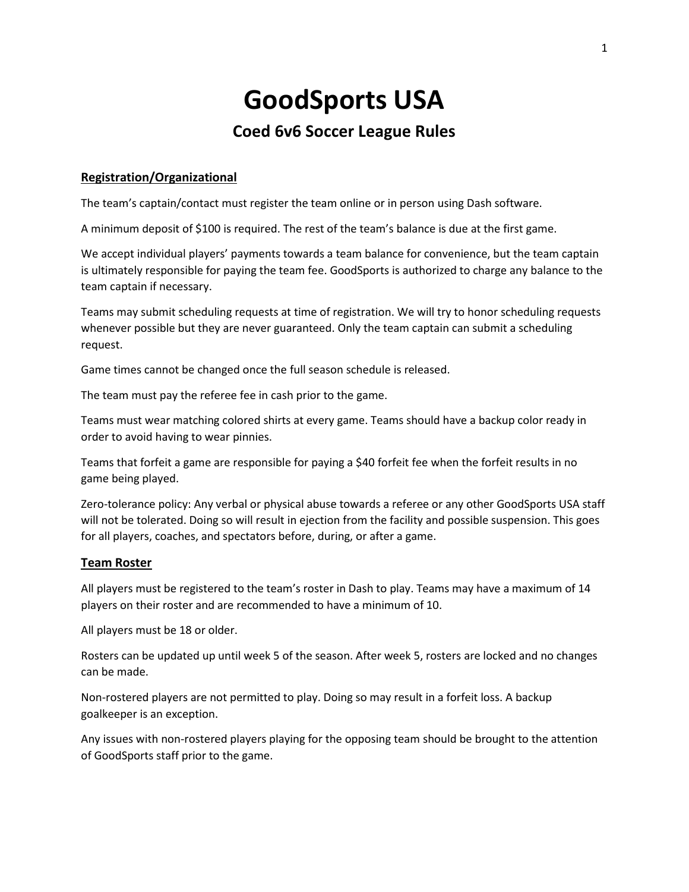# **GoodSports USA**

# **Coed 6v6 Soccer League Rules**

## **Registration/Organizational**

The team's captain/contact must register the team online or in person using Dash software.

A minimum deposit of \$100 is required. The rest of the team's balance is due at the first game.

We accept individual players' payments towards a team balance for convenience, but the team captain is ultimately responsible for paying the team fee. GoodSports is authorized to charge any balance to the team captain if necessary.

Teams may submit scheduling requests at time of registration. We will try to honor scheduling requests whenever possible but they are never guaranteed. Only the team captain can submit a scheduling request.

Game times cannot be changed once the full season schedule is released.

The team must pay the referee fee in cash prior to the game.

Teams must wear matching colored shirts at every game. Teams should have a backup color ready in order to avoid having to wear pinnies.

Teams that forfeit a game are responsible for paying a \$40 forfeit fee when the forfeit results in no game being played.

Zero-tolerance policy: Any verbal or physical abuse towards a referee or any other GoodSports USA staff will not be tolerated. Doing so will result in ejection from the facility and possible suspension. This goes for all players, coaches, and spectators before, during, or after a game.

#### **Team Roster**

All players must be registered to the team's roster in Dash to play. Teams may have a maximum of 14 players on their roster and are recommended to have a minimum of 10.

All players must be 18 or older.

Rosters can be updated up until week 5 of the season. After week 5, rosters are locked and no changes can be made.

Non-rostered players are not permitted to play. Doing so may result in a forfeit loss. A backup goalkeeper is an exception.

Any issues with non-rostered players playing for the opposing team should be brought to the attention of GoodSports staff prior to the game.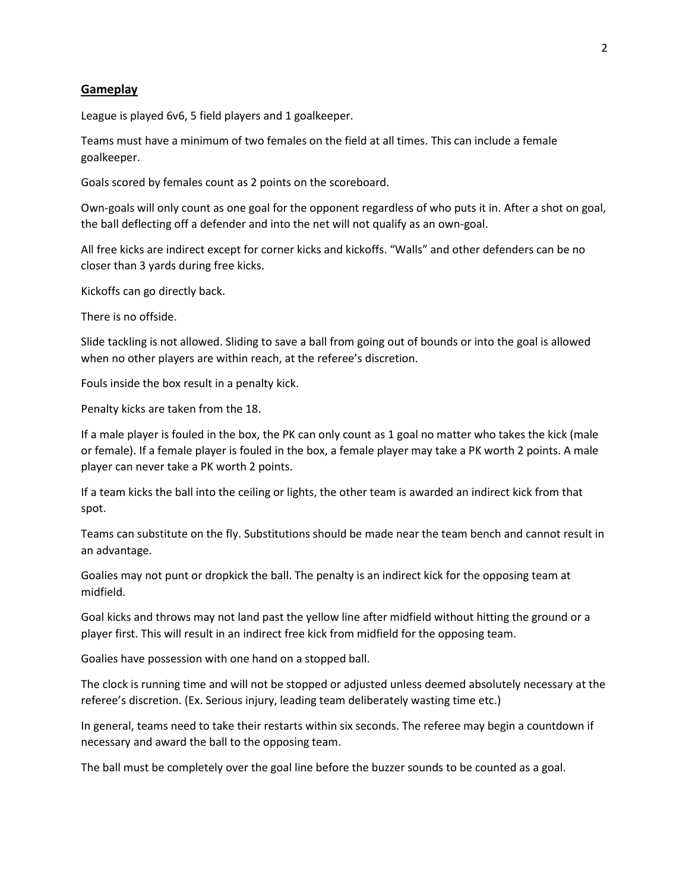#### **Gameplay**

League is played 6v6, 5 field players and 1 goalkeeper.

Teams must have a minimum of two females on the field at all times. This can include a female goalkeeper.

Goals scored by females count as 2 points on the scoreboard.

Own-goals will only count as one goal for the opponent regardless of who puts it in. After a shot on goal, the ball deflecting off a defender and into the net will not qualify as an own-goal.

All free kicks are indirect except for corner kicks and kickoffs. "Walls" and other defenders can be no closer than 3 yards during free kicks.

Kickoffs can go directly back.

There is no offside.

Slide tackling is not allowed. Sliding to save a ball from going out of bounds or into the goal is allowed when no other players are within reach, at the referee's discretion.

Fouls inside the box result in a penalty kick.

Penalty kicks are taken from the 18.

If a male player is fouled in the box, the PK can only count as 1 goal no matter who takes the kick (male or female). If a female player is fouled in the box, a female player may take a PK worth 2 points. A male player can never take a PK worth 2 points.

If a team kicks the ball into the ceiling or lights, the other team is awarded an indirect kick from that spot.

Teams can substitute on the fly. Substitutions should be made near the team bench and cannot result in an advantage.

Goalies may not punt or dropkick the ball. The penalty is an indirect kick for the opposing team at midfield.

Goal kicks and throws may not land past the yellow line after midfield without hitting the ground or a player first. This will result in an indirect free kick from midfield for the opposing team.

Goalies have possession with one hand on a stopped ball.

The clock is running time and will not be stopped or adjusted unless deemed absolutely necessary at the referee's discretion. (Ex. Serious injury, leading team deliberately wasting time etc.)

In general, teams need to take their restarts within six seconds. The referee may begin a countdown if necessary and award the ball to the opposing team.

The ball must be completely over the goal line before the buzzer sounds to be counted as a goal.